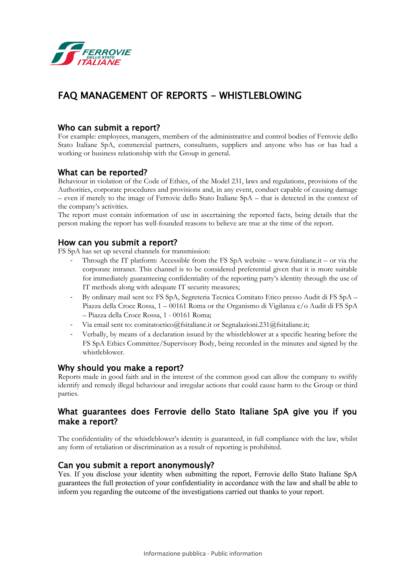

# FAQ MANAGEMENT OF REPORTS - WHISTLEBLOWING

## Who can submit a report?

For example: employees, managers, members of the administrative and control bodies of Ferrovie dello Stato Italiane SpA, commercial partners, consultants, suppliers and anyone who has or has had a working or business relationship with the Group in general.

#### What can be reported?

Behaviour in violation of the Code of Ethics, of the Model 231, laws and regulations, provisions of the Authorities, corporate procedures and provisions and, in any event, conduct capable of causing damage – even if merely to the image of Ferrovie dello Stato Italiane SpA – that is detected in the context of the company's activities.

The report must contain information of use in ascertaining the reported facts, being details that the person making the report has well-founded reasons to believe are true at the time of the report.

#### How can you submit a report?

FS SpA has set up several channels for transmission:

- Through the IT platform: Accessible from the FS  $SpA$  website www.fsitaliane.it or via the corporate intranet. This channel is to be considered preferential given that it is more suitable for immediately guaranteeing confidentiality of the reporting party's identity through the use of IT methods along with adequate IT security measures;
- By ordinary mail sent to: FS SpA, Segreteria Tecnica Comitato Etico presso Audit di FS SpA Piazza della Croce Rossa, 1 – 00161 Roma or the Organismo di Vigilanza c/o Audit di FS SpA – Piazza della Croce Rossa, 1 - 00161 Roma;
- Via email sent to: comitatoetico@fsitaliane.it or Segnalazioni.231@fsitaliane.it;
- Verbally, by means of a declaration issued by the whistleblower at a specific hearing before the FS SpA Ethics Committee/Supervisory Body, being recorded in the minutes and signed by the whistleblower.

#### Why should you make a report?

Reports made in good faith and in the interest of the common good can allow the company to swiftly identify and remedy illegal behaviour and irregular actions that could cause harm to the Group or third parties.

## What guarantees does Ferrovie dello Stato Italiane SpA give you if you make a report?

The confidentiality of the whistleblower's identity is guaranteed, in full compliance with the law, whilst any form of retaliation or discrimination as a result of reporting is prohibited.

#### Can you submit a report anonymously?

Yes. If you disclose your identity when submitting the report, Ferrovie dello Stato Italiane SpA guarantees the full protection of your confidentiality in accordance with the law and shall be able to inform you regarding the outcome of the investigations carried out thanks to your report.